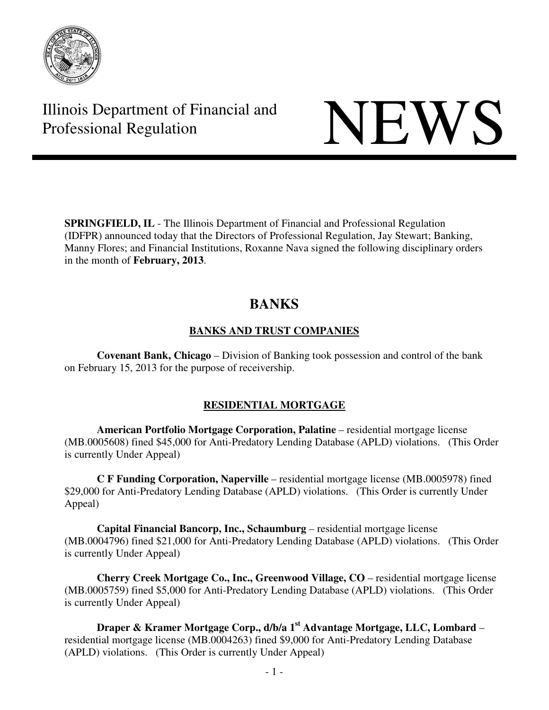

Illinois Department of Financial and Illinois Department of Financial and<br>Professional Regulation

**SPRINGFIELD, IL** - The Illinois Department of Financial and Professional Regulation (IDFPR) announced today that the Directors of Professional Regulation, Jay Stewart; Banking, Manny Flores; and Financial Institutions, Roxanne Nava signed the following disciplinary orders in the month of **February, 2013**.

# **BANKS**

# **BANKS AND TRUST COMPANIES**

 **Covenant Bank, Chicago** – Division of Banking took possession and control of the bank on February 15, 2013 for the purpose of receivership.

# **RESIDENTIAL MORTGAGE**

 **American Portfolio Mortgage Corporation, Palatine** – residential mortgage license (MB.0005608) fined \$45,000 for Anti-Predatory Lending Database (APLD) violations. (This Order is currently Under Appeal)

 **C F Funding Corporation, Naperville** – residential mortgage license (MB.0005978) fined \$29,000 for Anti-Predatory Lending Database (APLD) violations. (This Order is currently Under Appeal)

 **Capital Financial Bancorp, Inc., Schaumburg** – residential mortgage license (MB.0004796) fined \$21,000 for Anti-Predatory Lending Database (APLD) violations. (This Order is currently Under Appeal)

 **Cherry Creek Mortgage Co., Inc., Greenwood Village, CO** – residential mortgage license (MB.0005759) fined \$5,000 for Anti-Predatory Lending Database (APLD) violations. (This Order is currently Under Appeal)

 **Draper & Kramer Mortgage Corp., d/b/a 1st Advantage Mortgage, LLC, Lombard** – residential mortgage license (MB.0004263) fined \$9,000 for Anti-Predatory Lending Database (APLD) violations. (This Order is currently Under Appeal)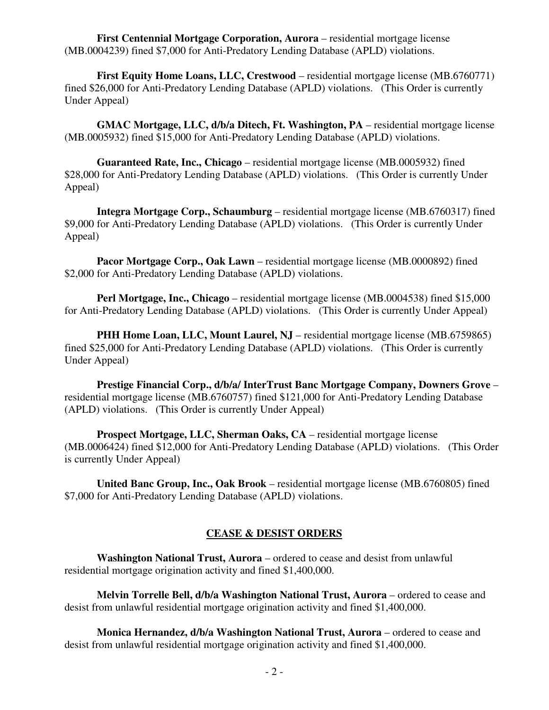**First Centennial Mortgage Corporation, Aurora** – residential mortgage license (MB.0004239) fined \$7,000 for Anti-Predatory Lending Database (APLD) violations.

**First Equity Home Loans, LLC, Crestwood** – residential mortgage license (MB.6760771) fined \$26,000 for Anti-Predatory Lending Database (APLD) violations. (This Order is currently Under Appeal)

**GMAC Mortgage, LLC, d/b/a Ditech, Ft. Washington, PA** – residential mortgage license (MB.0005932) fined \$15,000 for Anti-Predatory Lending Database (APLD) violations.

**Guaranteed Rate, Inc., Chicago** – residential mortgage license (MB.0005932) fined \$28,000 for Anti-Predatory Lending Database (APLD) violations. (This Order is currently Under Appeal)

 **Integra Mortgage Corp., Schaumburg** – residential mortgage license (MB.6760317) fined \$9,000 for Anti-Predatory Lending Database (APLD) violations. (This Order is currently Under Appeal)

 **Pacor Mortgage Corp., Oak Lawn** – residential mortgage license (MB.0000892) fined \$2,000 for Anti-Predatory Lending Database (APLD) violations.

 **Perl Mortgage, Inc., Chicago** – residential mortgage license (MB.0004538) fined \$15,000 for Anti-Predatory Lending Database (APLD) violations. (This Order is currently Under Appeal)

**PHH Home Loan, LLC, Mount Laurel, NJ** – residential mortgage license (MB.6759865) fined \$25,000 for Anti-Predatory Lending Database (APLD) violations. (This Order is currently Under Appeal)

 **Prestige Financial Corp., d/b/a/ InterTrust Banc Mortgage Company, Downers Grove** – residential mortgage license (MB.6760757) fined \$121,000 for Anti-Predatory Lending Database (APLD) violations. (This Order is currently Under Appeal)

**Prospect Mortgage, LLC, Sherman Oaks, CA** – residential mortgage license (MB.0006424) fined \$12,000 for Anti-Predatory Lending Database (APLD) violations. (This Order is currently Under Appeal)

 **United Banc Group, Inc., Oak Brook** – residential mortgage license (MB.6760805) fined \$7,000 for Anti-Predatory Lending Database (APLD) violations.

### **CEASE & DESIST ORDERS**

 **Washington National Trust, Aurora** – ordered to cease and desist from unlawful residential mortgage origination activity and fined \$1,400,000.

**Melvin Torrelle Bell, d/b/a Washington National Trust, Aurora** – ordered to cease and desist from unlawful residential mortgage origination activity and fined \$1,400,000.

**Monica Hernandez, d/b/a Washington National Trust, Aurora** – ordered to cease and desist from unlawful residential mortgage origination activity and fined \$1,400,000.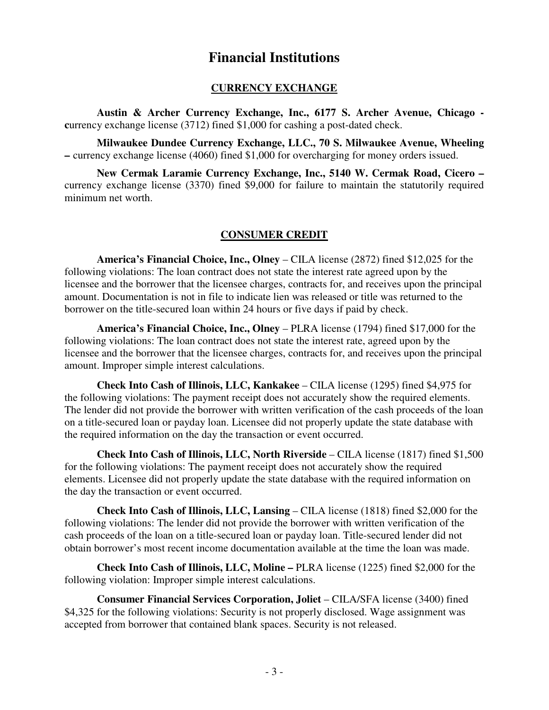# **Financial Institutions**

#### **CURRENCY EXCHANGE**

 **Austin & Archer Currency Exchange, Inc., 6177 S. Archer Avenue, Chicago currency exchange license (3712) fined \$1,000 for cashing a post-dated check.** 

 **Milwaukee Dundee Currency Exchange, LLC., 70 S. Milwaukee Avenue, Wheeling –** currency exchange license (4060) fined \$1,000 for overcharging for money orders issued.

 **New Cermak Laramie Currency Exchange, Inc., 5140 W. Cermak Road, Cicero –**  currency exchange license (3370) fined \$9,000 for failure to maintain the statutorily required minimum net worth.

#### **CONSUMER CREDIT**

 **America's Financial Choice, Inc., Olney** – CILA license (2872) fined \$12,025 for the following violations: The loan contract does not state the interest rate agreed upon by the licensee and the borrower that the licensee charges, contracts for, and receives upon the principal amount. Documentation is not in file to indicate lien was released or title was returned to the borrower on the title-secured loan within 24 hours or five days if paid by check.

 **America's Financial Choice, Inc., Olney** – PLRA license (1794) fined \$17,000 for the following violations: The loan contract does not state the interest rate, agreed upon by the licensee and the borrower that the licensee charges, contracts for, and receives upon the principal amount. Improper simple interest calculations.

 **Check Into Cash of Illinois, LLC, Kankakee** – CILA license (1295) fined \$4,975 for the following violations: The payment receipt does not accurately show the required elements. The lender did not provide the borrower with written verification of the cash proceeds of the loan on a title-secured loan or payday loan. Licensee did not properly update the state database with the required information on the day the transaction or event occurred.

 **Check Into Cash of Illinois, LLC, North Riverside** – CILA license (1817) fined \$1,500 for the following violations: The payment receipt does not accurately show the required elements. Licensee did not properly update the state database with the required information on the day the transaction or event occurred.

 **Check Into Cash of Illinois, LLC, Lansing** – CILA license (1818) fined \$2,000 for the following violations: The lender did not provide the borrower with written verification of the cash proceeds of the loan on a title-secured loan or payday loan. Title-secured lender did not obtain borrower's most recent income documentation available at the time the loan was made.

 **Check Into Cash of Illinois, LLC, Moline –** PLRA license (1225) fined \$2,000 for the following violation: Improper simple interest calculations.

**Consumer Financial Services Corporation, Joliet – CILA/SFA license (3400) fined** \$4,325 for the following violations: Security is not properly disclosed. Wage assignment was accepted from borrower that contained blank spaces. Security is not released.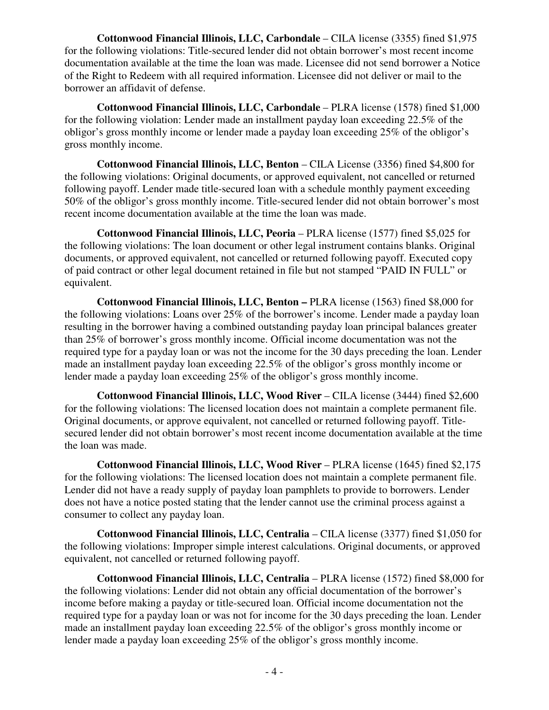**Cottonwood Financial Illinois, LLC, Carbondale** – CILA license (3355) fined \$1,975 for the following violations: Title-secured lender did not obtain borrower's most recent income documentation available at the time the loan was made. Licensee did not send borrower a Notice of the Right to Redeem with all required information. Licensee did not deliver or mail to the borrower an affidavit of defense.

 **Cottonwood Financial Illinois, LLC, Carbondale** – PLRA license (1578) fined \$1,000 for the following violation: Lender made an installment payday loan exceeding 22.5% of the obligor's gross monthly income or lender made a payday loan exceeding 25% of the obligor's gross monthly income.

 **Cottonwood Financial Illinois, LLC, Benton** – CILA License (3356) fined \$4,800 for the following violations: Original documents, or approved equivalent, not cancelled or returned following payoff. Lender made title-secured loan with a schedule monthly payment exceeding 50% of the obligor's gross monthly income. Title-secured lender did not obtain borrower's most recent income documentation available at the time the loan was made.

**Cottonwood Financial Illinois, LLC, Peoria – PLRA license (1577) fined \$5,025 for** the following violations: The loan document or other legal instrument contains blanks. Original documents, or approved equivalent, not cancelled or returned following payoff. Executed copy of paid contract or other legal document retained in file but not stamped "PAID IN FULL" or equivalent.

 **Cottonwood Financial Illinois, LLC, Benton –** PLRA license (1563) fined \$8,000 for the following violations: Loans over 25% of the borrower's income. Lender made a payday loan resulting in the borrower having a combined outstanding payday loan principal balances greater than 25% of borrower's gross monthly income. Official income documentation was not the required type for a payday loan or was not the income for the 30 days preceding the loan. Lender made an installment payday loan exceeding 22.5% of the obligor's gross monthly income or lender made a payday loan exceeding 25% of the obligor's gross monthly income.

**Cottonwood Financial Illinois, LLC, Wood River – CILA license (3444) fined \$2,600** for the following violations: The licensed location does not maintain a complete permanent file. Original documents, or approve equivalent, not cancelled or returned following payoff. Titlesecured lender did not obtain borrower's most recent income documentation available at the time the loan was made.

**Cottonwood Financial Illinois, LLC, Wood River – PLRA license (1645) fined \$2,175** for the following violations: The licensed location does not maintain a complete permanent file. Lender did not have a ready supply of payday loan pamphlets to provide to borrowers. Lender does not have a notice posted stating that the lender cannot use the criminal process against a consumer to collect any payday loan.

 **Cottonwood Financial Illinois, LLC, Centralia** – CILA license (3377) fined \$1,050 for the following violations: Improper simple interest calculations. Original documents, or approved equivalent, not cancelled or returned following payoff.

 **Cottonwood Financial Illinois, LLC, Centralia** – PLRA license (1572) fined \$8,000 for the following violations: Lender did not obtain any official documentation of the borrower's income before making a payday or title-secured loan. Official income documentation not the required type for a payday loan or was not for income for the 30 days preceding the loan. Lender made an installment payday loan exceeding 22.5% of the obligor's gross monthly income or lender made a payday loan exceeding 25% of the obligor's gross monthly income.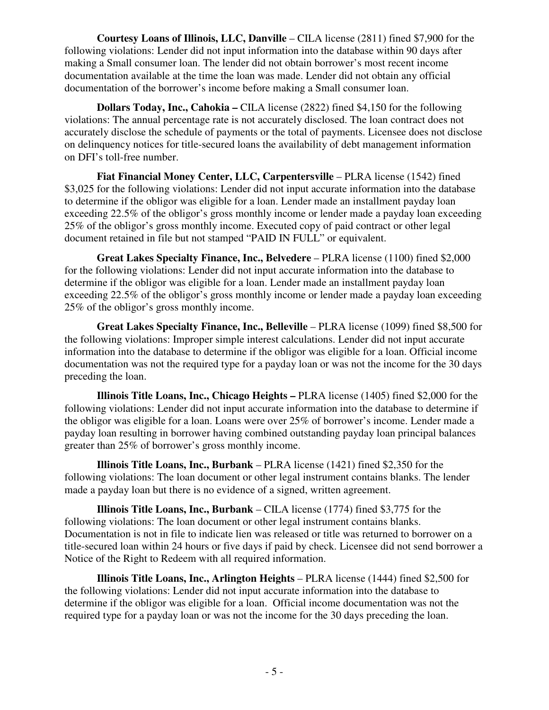**Courtesy Loans of Illinois, LLC, Danville** – CILA license (2811) fined \$7,900 for the following violations: Lender did not input information into the database within 90 days after making a Small consumer loan. The lender did not obtain borrower's most recent income documentation available at the time the loan was made. Lender did not obtain any official documentation of the borrower's income before making a Small consumer loan.

 **Dollars Today, Inc., Cahokia –** CILA license (2822) fined \$4,150 for the following violations: The annual percentage rate is not accurately disclosed. The loan contract does not accurately disclose the schedule of payments or the total of payments. Licensee does not disclose on delinquency notices for title-secured loans the availability of debt management information on DFI's toll-free number.

 **Fiat Financial Money Center, LLC, Carpentersville** – PLRA license (1542) fined \$3,025 for the following violations: Lender did not input accurate information into the database to determine if the obligor was eligible for a loan. Lender made an installment payday loan exceeding 22.5% of the obligor's gross monthly income or lender made a payday loan exceeding 25% of the obligor's gross monthly income. Executed copy of paid contract or other legal document retained in file but not stamped "PAID IN FULL" or equivalent.

 **Great Lakes Specialty Finance, Inc., Belvedere** – PLRA license (1100) fined \$2,000 for the following violations: Lender did not input accurate information into the database to determine if the obligor was eligible for a loan. Lender made an installment payday loan exceeding 22.5% of the obligor's gross monthly income or lender made a payday loan exceeding 25% of the obligor's gross monthly income.

 **Great Lakes Specialty Finance, Inc., Belleville** – PLRA license (1099) fined \$8,500 for the following violations: Improper simple interest calculations. Lender did not input accurate information into the database to determine if the obligor was eligible for a loan. Official income documentation was not the required type for a payday loan or was not the income for the 30 days preceding the loan.

 **Illinois Title Loans, Inc., Chicago Heights –** PLRA license (1405) fined \$2,000 for the following violations: Lender did not input accurate information into the database to determine if the obligor was eligible for a loan. Loans were over 25% of borrower's income. Lender made a payday loan resulting in borrower having combined outstanding payday loan principal balances greater than 25% of borrower's gross monthly income.

 **Illinois Title Loans, Inc., Burbank** – PLRA license (1421) fined \$2,350 for the following violations: The loan document or other legal instrument contains blanks. The lender made a payday loan but there is no evidence of a signed, written agreement.

 **Illinois Title Loans, Inc., Burbank** – CILA license (1774) fined \$3,775 for the following violations: The loan document or other legal instrument contains blanks. Documentation is not in file to indicate lien was released or title was returned to borrower on a title-secured loan within 24 hours or five days if paid by check. Licensee did not send borrower a Notice of the Right to Redeem with all required information.

 **Illinois Title Loans, Inc., Arlington Heights** – PLRA license (1444) fined \$2,500 for the following violations: Lender did not input accurate information into the database to determine if the obligor was eligible for a loan. Official income documentation was not the required type for a payday loan or was not the income for the 30 days preceding the loan.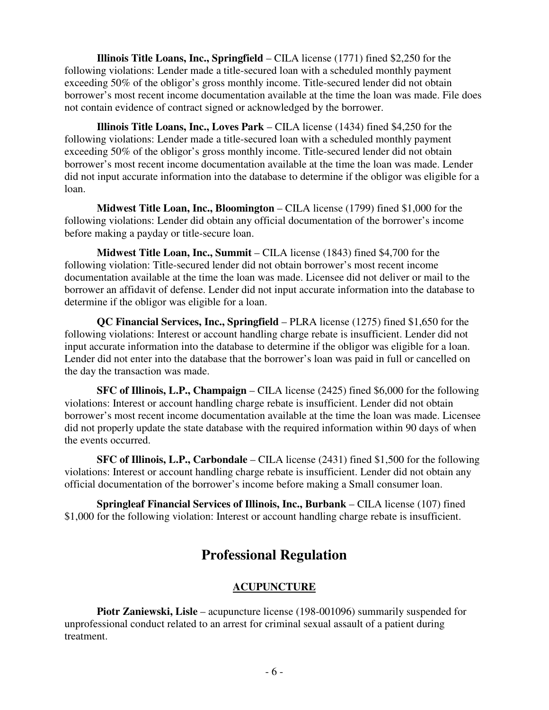**Illinois Title Loans, Inc., Springfield** – CILA license (1771) fined \$2,250 for the following violations: Lender made a title-secured loan with a scheduled monthly payment exceeding 50% of the obligor's gross monthly income. Title-secured lender did not obtain borrower's most recent income documentation available at the time the loan was made. File does not contain evidence of contract signed or acknowledged by the borrower.

 **Illinois Title Loans, Inc., Loves Park** – CILA license (1434) fined \$4,250 for the following violations: Lender made a title-secured loan with a scheduled monthly payment exceeding 50% of the obligor's gross monthly income. Title-secured lender did not obtain borrower's most recent income documentation available at the time the loan was made. Lender did not input accurate information into the database to determine if the obligor was eligible for a loan.

 **Midwest Title Loan, Inc., Bloomington** – CILA license (1799) fined \$1,000 for the following violations: Lender did obtain any official documentation of the borrower's income before making a payday or title-secure loan.

 **Midwest Title Loan, Inc., Summit** – CILA license (1843) fined \$4,700 for the following violation: Title-secured lender did not obtain borrower's most recent income documentation available at the time the loan was made. Licensee did not deliver or mail to the borrower an affidavit of defense. Lender did not input accurate information into the database to determine if the obligor was eligible for a loan.

 **QC Financial Services, Inc., Springfield** – PLRA license (1275) fined \$1,650 for the following violations: Interest or account handling charge rebate is insufficient. Lender did not input accurate information into the database to determine if the obligor was eligible for a loan. Lender did not enter into the database that the borrower's loan was paid in full or cancelled on the day the transaction was made.

 **SFC of Illinois, L.P., Champaign** – CILA license (2425) fined \$6,000 for the following violations: Interest or account handling charge rebate is insufficient. Lender did not obtain borrower's most recent income documentation available at the time the loan was made. Licensee did not properly update the state database with the required information within 90 days of when the events occurred.

 **SFC of Illinois, L.P., Carbondale** – CILA license (2431) fined \$1,500 for the following violations: Interest or account handling charge rebate is insufficient. Lender did not obtain any official documentation of the borrower's income before making a Small consumer loan.

 **Springleaf Financial Services of Illinois, Inc., Burbank** – CILA license (107) fined \$1,000 for the following violation: Interest or account handling charge rebate is insufficient.

# **Professional Regulation**

# **ACUPUNCTURE**

**Piotr Zaniewski, Lisle** – acupuncture license (198-001096) summarily suspended for unprofessional conduct related to an arrest for criminal sexual assault of a patient during treatment.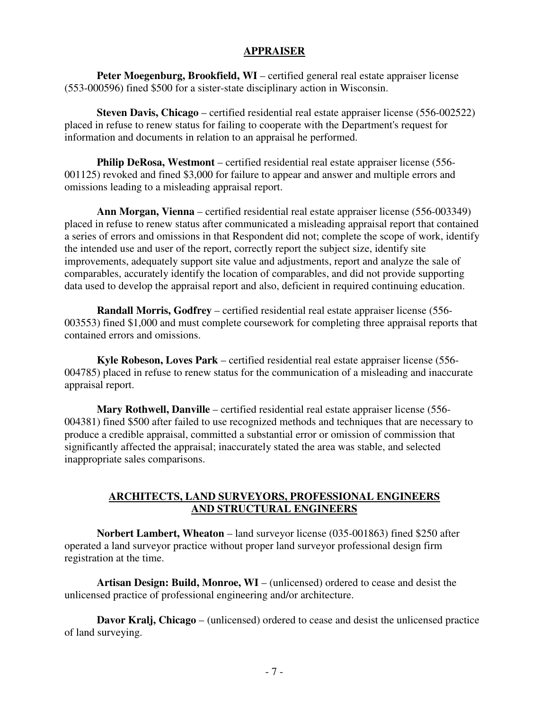### **APPRAISER**

**Peter Moegenburg, Brookfield, WI** – certified general real estate appraiser license (553-000596) fined \$500 for a sister-state disciplinary action in Wisconsin.

**Steven Davis, Chicago** – certified residential real estate appraiser license (556-002522) placed in refuse to renew status for failing to cooperate with the Department's request for information and documents in relation to an appraisal he performed.

**Philip DeRosa, Westmont** – certified residential real estate appraiser license (556- 001125) revoked and fined \$3,000 for failure to appear and answer and multiple errors and omissions leading to a misleading appraisal report.

**Ann Morgan, Vienna** – certified residential real estate appraiser license (556-003349) placed in refuse to renew status after communicated a misleading appraisal report that contained a series of errors and omissions in that Respondent did not; complete the scope of work, identify the intended use and user of the report, correctly report the subject size, identify site improvements, adequately support site value and adjustments, report and analyze the sale of comparables, accurately identify the location of comparables, and did not provide supporting data used to develop the appraisal report and also, deficient in required continuing education.

**Randall Morris, Godfrey** – certified residential real estate appraiser license (556- 003553) fined \$1,000 and must complete coursework for completing three appraisal reports that contained errors and omissions.

**Kyle Robeson, Loves Park** – certified residential real estate appraiser license (556- 004785) placed in refuse to renew status for the communication of a misleading and inaccurate appraisal report.

**Mary Rothwell, Danville** – certified residential real estate appraiser license (556- 004381) fined \$500 after failed to use recognized methods and techniques that are necessary to produce a credible appraisal, committed a substantial error or omission of commission that significantly affected the appraisal; inaccurately stated the area was stable, and selected inappropriate sales comparisons.

### **ARCHITECTS, LAND SURVEYORS, PROFESSIONAL ENGINEERS AND STRUCTURAL ENGINEERS**

 **Norbert Lambert, Wheaton** – land surveyor license (035-001863) fined \$250 after operated a land surveyor practice without proper land surveyor professional design firm registration at the time.

**Artisan Design: Build, Monroe, WI** – (unlicensed) ordered to cease and desist the unlicensed practice of professional engineering and/or architecture.

**Davor Kralj, Chicago** – (unlicensed) ordered to cease and desist the unlicensed practice of land surveying.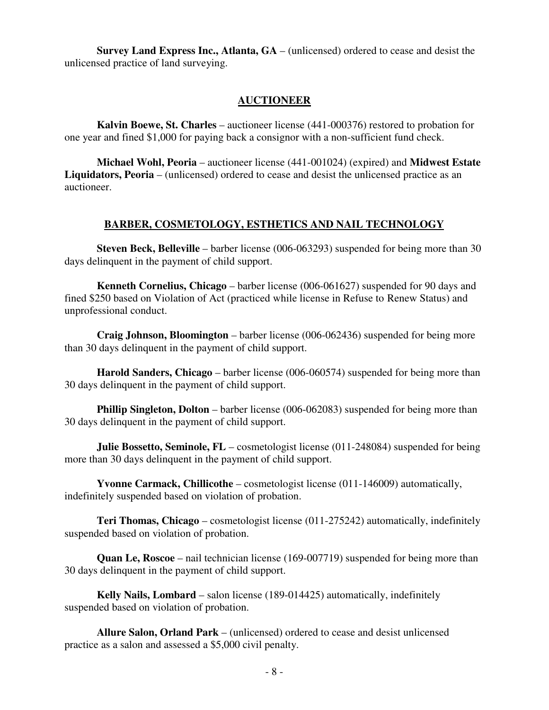**Survey Land Express Inc., Atlanta, GA** – (unlicensed) ordered to cease and desist the unlicensed practice of land surveying.

#### **AUCTIONEER**

**Kalvin Boewe, St. Charles** – auctioneer license (441-000376) restored to probation for one year and fined \$1,000 for paying back a consignor with a non-sufficient fund check.

**Michael Wohl, Peoria** – auctioneer license (441-001024) (expired) and **Midwest Estate Liquidators, Peoria** – (unlicensed) ordered to cease and desist the unlicensed practice as an auctioneer.

### **BARBER, COSMETOLOGY, ESTHETICS AND NAIL TECHNOLOGY**

**Steven Beck, Belleville** – barber license (006-063293) suspended for being more than 30 days delinquent in the payment of child support.

 **Kenneth Cornelius, Chicago** – barber license (006-061627) suspended for 90 days and fined \$250 based on Violation of Act (practiced while license in Refuse to Renew Status) and unprofessional conduct.

 **Craig Johnson, Bloomington** – barber license (006-062436) suspended for being more than 30 days delinquent in the payment of child support.

 **Harold Sanders, Chicago** – barber license (006-060574) suspended for being more than 30 days delinquent in the payment of child support.

**Phillip Singleton, Dolton** – barber license (006-062083) suspended for being more than 30 days delinquent in the payment of child support.

**Julie Bossetto, Seminole, FL** – cosmetologist license (011-248084) suspended for being more than 30 days delinquent in the payment of child support.

 **Yvonne Carmack, Chillicothe** – cosmetologist license (011-146009) automatically, indefinitely suspended based on violation of probation.

 **Teri Thomas, Chicago** – cosmetologist license (011-275242) automatically, indefinitely suspended based on violation of probation.

**Quan Le, Roscoe** – nail technician license (169-007719) suspended for being more than 30 days delinquent in the payment of child support.

 **Kelly Nails, Lombard** – salon license (189-014425) automatically, indefinitely suspended based on violation of probation.

 **Allure Salon, Orland Park** – (unlicensed) ordered to cease and desist unlicensed practice as a salon and assessed a \$5,000 civil penalty.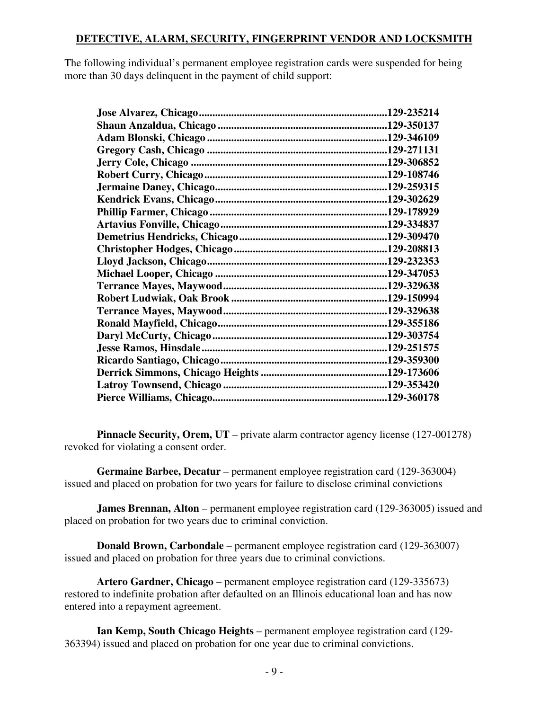## **DETECTIVE, ALARM, SECURITY, FINGERPRINT VENDOR AND LOCKSMITH**

The following individual's permanent employee registration cards were suspended for being more than 30 days delinquent in the payment of child support:

| .129-235214 |
|-------------|
|             |
|             |
|             |
|             |
|             |
|             |
|             |
|             |
|             |
|             |
|             |
|             |
|             |
|             |
|             |
|             |
|             |
|             |
|             |
|             |
|             |
|             |
|             |

**Pinnacle Security, Orem, UT** – private alarm contractor agency license (127-001278) revoked for violating a consent order.

**Germaine Barbee, Decatur** – permanent employee registration card (129-363004) issued and placed on probation for two years for failure to disclose criminal convictions

**James Brennan, Alton** – permanent employee registration card (129-363005) issued and placed on probation for two years due to criminal conviction.

**Donald Brown, Carbondale** – permanent employee registration card (129-363007) issued and placed on probation for three years due to criminal convictions.

**Artero Gardner, Chicago** – permanent employee registration card (129-335673) restored to indefinite probation after defaulted on an Illinois educational loan and has now entered into a repayment agreement.

**Ian Kemp, South Chicago Heights** – permanent employee registration card (129- 363394) issued and placed on probation for one year due to criminal convictions.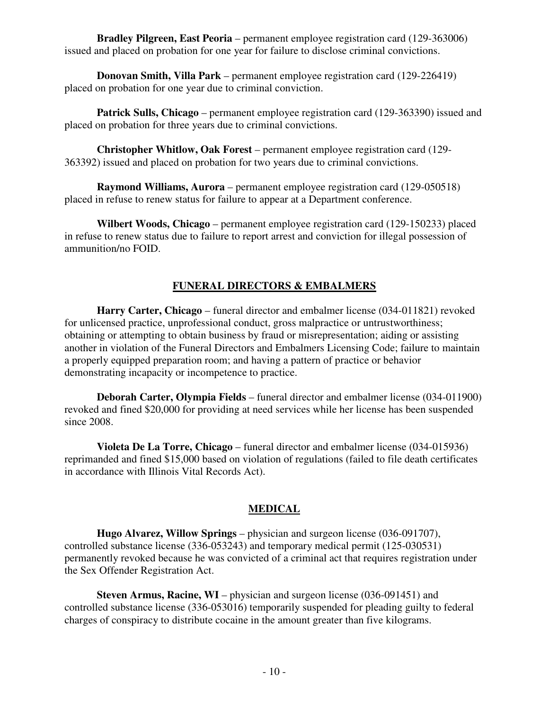**Bradley Pilgreen, East Peoria** – permanent employee registration card (129-363006) issued and placed on probation for one year for failure to disclose criminal convictions.

**Donovan Smith, Villa Park** – permanent employee registration card (129-226419) placed on probation for one year due to criminal conviction.

**Patrick Sulls, Chicago** – permanent employee registration card (129-363390) issued and placed on probation for three years due to criminal convictions.

**Christopher Whitlow, Oak Forest** – permanent employee registration card (129- 363392) issued and placed on probation for two years due to criminal convictions.

**Raymond Williams, Aurora** – permanent employee registration card (129-050518) placed in refuse to renew status for failure to appear at a Department conference.

**Wilbert Woods, Chicago** – permanent employee registration card (129-150233) placed in refuse to renew status due to failure to report arrest and conviction for illegal possession of ammunition/no FOID.

## **FUNERAL DIRECTORS & EMBALMERS**

 **Harry Carter, Chicago** – funeral director and embalmer license (034-011821) revoked for unlicensed practice, unprofessional conduct, gross malpractice or untrustworthiness; obtaining or attempting to obtain business by fraud or misrepresentation; aiding or assisting another in violation of the Funeral Directors and Embalmers Licensing Code; failure to maintain a properly equipped preparation room; and having a pattern of practice or behavior demonstrating incapacity or incompetence to practice.

 **Deborah Carter, Olympia Fields** – funeral director and embalmer license (034-011900) revoked and fined \$20,000 for providing at need services while her license has been suspended since 2008.

 **Violeta De La Torre, Chicago** – funeral director and embalmer license (034-015936) reprimanded and fined \$15,000 based on violation of regulations (failed to file death certificates in accordance with Illinois Vital Records Act).

### **MEDICAL**

 **Hugo Alvarez, Willow Springs** – physician and surgeon license (036-091707), controlled substance license (336-053243) and temporary medical permit (125-030531) permanently revoked because he was convicted of a criminal act that requires registration under the Sex Offender Registration Act.

**Steven Armus, Racine, WI** – physician and surgeon license (036-091451) and controlled substance license (336-053016) temporarily suspended for pleading guilty to federal charges of conspiracy to distribute cocaine in the amount greater than five kilograms.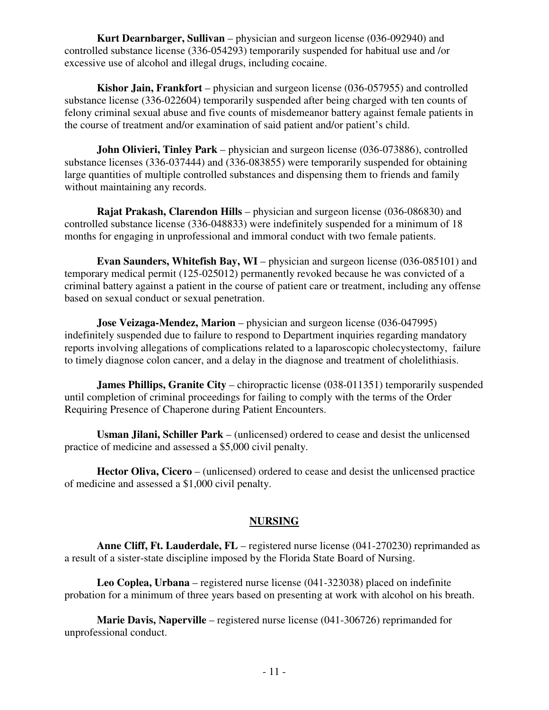**Kurt Dearnbarger, Sullivan** – physician and surgeon license (036-092940) and controlled substance license (336-054293) temporarily suspended for habitual use and /or excessive use of alcohol and illegal drugs, including cocaine.

 **Kishor Jain, Frankfort** – physician and surgeon license (036-057955) and controlled substance license (336-022604) temporarily suspended after being charged with ten counts of felony criminal sexual abuse and five counts of misdemeanor battery against female patients in the course of treatment and/or examination of said patient and/or patient's child.

 **John Olivieri, Tinley Park** – physician and surgeon license (036-073886), controlled substance licenses (336-037444) and (336-083855) were temporarily suspended for obtaining large quantities of multiple controlled substances and dispensing them to friends and family without maintaining any records.

 **Rajat Prakash, Clarendon Hills** – physician and surgeon license (036-086830) and controlled substance license (336-048833) were indefinitely suspended for a minimum of 18 months for engaging in unprofessional and immoral conduct with two female patients.

 **Evan Saunders, Whitefish Bay, WI** – physician and surgeon license (036-085101) and temporary medical permit (125-025012) permanently revoked because he was convicted of a criminal battery against a patient in the course of patient care or treatment, including any offense based on sexual conduct or sexual penetration.

**Jose Veizaga-Mendez, Marion** – physician and surgeon license (036-047995) indefinitely suspended due to failure to respond to Department inquiries regarding mandatory reports involving allegations of complications related to a laparoscopic cholecystectomy, failure to timely diagnose colon cancer, and a delay in the diagnose and treatment of cholelithiasis.

**James Phillips, Granite City** – chiropractic license (038-011351) temporarily suspended until completion of criminal proceedings for failing to comply with the terms of the Order Requiring Presence of Chaperone during Patient Encounters.

**Usman Jilani, Schiller Park** – (unlicensed) ordered to cease and desist the unlicensed practice of medicine and assessed a \$5,000 civil penalty.

**Hector Oliva, Cicero** – (unlicensed) ordered to cease and desist the unlicensed practice of medicine and assessed a \$1,000 civil penalty.

# **NURSING**

 **Anne Cliff, Ft. Lauderdale, FL** – registered nurse license (041-270230) reprimanded as a result of a sister-state discipline imposed by the Florida State Board of Nursing.

 **Leo Coplea, Urbana** – registered nurse license (041-323038) placed on indefinite probation for a minimum of three years based on presenting at work with alcohol on his breath.

 **Marie Davis, Naperville** – registered nurse license (041-306726) reprimanded for unprofessional conduct.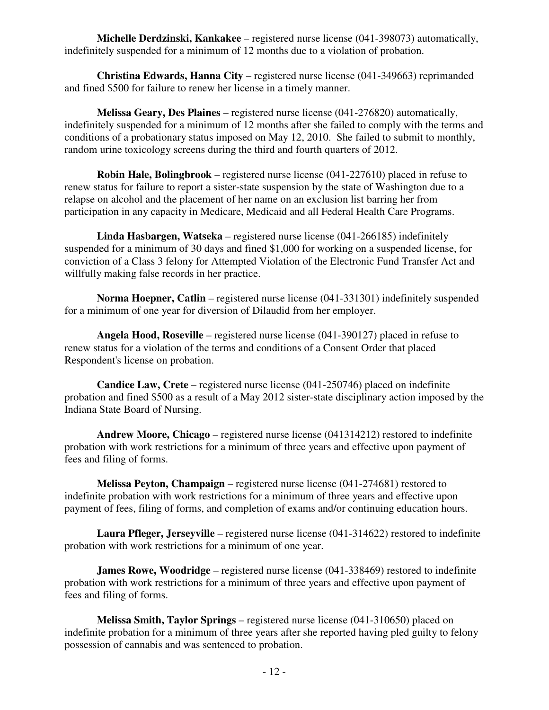**Michelle Derdzinski, Kankakee** – registered nurse license (041-398073) automatically, indefinitely suspended for a minimum of 12 months due to a violation of probation.

 **Christina Edwards, Hanna City** – registered nurse license (041-349663) reprimanded and fined \$500 for failure to renew her license in a timely manner.

 **Melissa Geary, Des Plaines** – registered nurse license (041-276820) automatically, indefinitely suspended for a minimum of 12 months after she failed to comply with the terms and conditions of a probationary status imposed on May 12, 2010. She failed to submit to monthly, random urine toxicology screens during the third and fourth quarters of 2012.

 **Robin Hale, Bolingbrook** – registered nurse license (041-227610) placed in refuse to renew status for failure to report a sister-state suspension by the state of Washington due to a relapse on alcohol and the placement of her name on an exclusion list barring her from participation in any capacity in Medicare, Medicaid and all Federal Health Care Programs.

 **Linda Hasbargen, Watseka** – registered nurse license (041-266185) indefinitely suspended for a minimum of 30 days and fined \$1,000 for working on a suspended license, for conviction of a Class 3 felony for Attempted Violation of the Electronic Fund Transfer Act and willfully making false records in her practice.

**Norma Hoepner, Catlin** – registered nurse license (041-331301) indefinitely suspended for a minimum of one year for diversion of Dilaudid from her employer.

 **Angela Hood, Roseville** – registered nurse license (041-390127) placed in refuse to renew status for a violation of the terms and conditions of a Consent Order that placed Respondent's license on probation.

 **Candice Law, Crete** – registered nurse license (041-250746) placed on indefinite probation and fined \$500 as a result of a May 2012 sister-state disciplinary action imposed by the Indiana State Board of Nursing.

 **Andrew Moore, Chicago** – registered nurse license (041314212) restored to indefinite probation with work restrictions for a minimum of three years and effective upon payment of fees and filing of forms.

 **Melissa Peyton, Champaign** – registered nurse license (041-274681) restored to indefinite probation with work restrictions for a minimum of three years and effective upon payment of fees, filing of forms, and completion of exams and/or continuing education hours.

 **Laura Pfleger, Jerseyville** – registered nurse license (041-314622) restored to indefinite probation with work restrictions for a minimum of one year.

**James Rowe, Woodridge** – registered nurse license (041-338469) restored to indefinite probation with work restrictions for a minimum of three years and effective upon payment of fees and filing of forms.

 **Melissa Smith, Taylor Springs** – registered nurse license (041-310650) placed on indefinite probation for a minimum of three years after she reported having pled guilty to felony possession of cannabis and was sentenced to probation.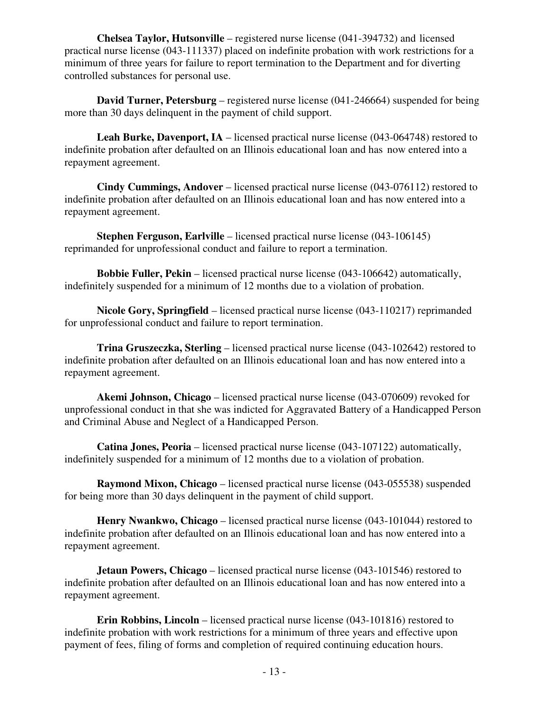**Chelsea Taylor, Hutsonville** – registered nurse license (041-394732) and licensed practical nurse license (043-111337) placed on indefinite probation with work restrictions for a minimum of three years for failure to report termination to the Department and for diverting controlled substances for personal use.

 **David Turner, Petersburg** – registered nurse license (041-246664) suspended for being more than 30 days delinquent in the payment of child support.

**Leah Burke, Davenport, IA** – licensed practical nurse license (043-064748) restored to indefinite probation after defaulted on an Illinois educational loan and has now entered into a repayment agreement.

 **Cindy Cummings, Andover** – licensed practical nurse license (043-076112) restored to indefinite probation after defaulted on an Illinois educational loan and has now entered into a repayment agreement.

**Stephen Ferguson, Earlville** – licensed practical nurse license (043-106145) reprimanded for unprofessional conduct and failure to report a termination.

**Bobbie Fuller, Pekin** – licensed practical nurse license (043-106642) automatically, indefinitely suspended for a minimum of 12 months due to a violation of probation.

 **Nicole Gory, Springfield** – licensed practical nurse license (043-110217) reprimanded for unprofessional conduct and failure to report termination.

 **Trina Gruszeczka, Sterling** – licensed practical nurse license (043-102642) restored to indefinite probation after defaulted on an Illinois educational loan and has now entered into a repayment agreement.

 **Akemi Johnson, Chicago** – licensed practical nurse license (043-070609) revoked for unprofessional conduct in that she was indicted for Aggravated Battery of a Handicapped Person and Criminal Abuse and Neglect of a Handicapped Person.

 **Catina Jones, Peoria** – licensed practical nurse license (043-107122) automatically, indefinitely suspended for a minimum of 12 months due to a violation of probation.

**Raymond Mixon, Chicago** – licensed practical nurse license (043-055538) suspended for being more than 30 days delinquent in the payment of child support.

 **Henry Nwankwo, Chicago** – licensed practical nurse license (043-101044) restored to indefinite probation after defaulted on an Illinois educational loan and has now entered into a repayment agreement.

**Jetaun Powers, Chicago** – licensed practical nurse license (043-101546) restored to indefinite probation after defaulted on an Illinois educational loan and has now entered into a repayment agreement.

 **Erin Robbins, Lincoln** – licensed practical nurse license (043-101816) restored to indefinite probation with work restrictions for a minimum of three years and effective upon payment of fees, filing of forms and completion of required continuing education hours.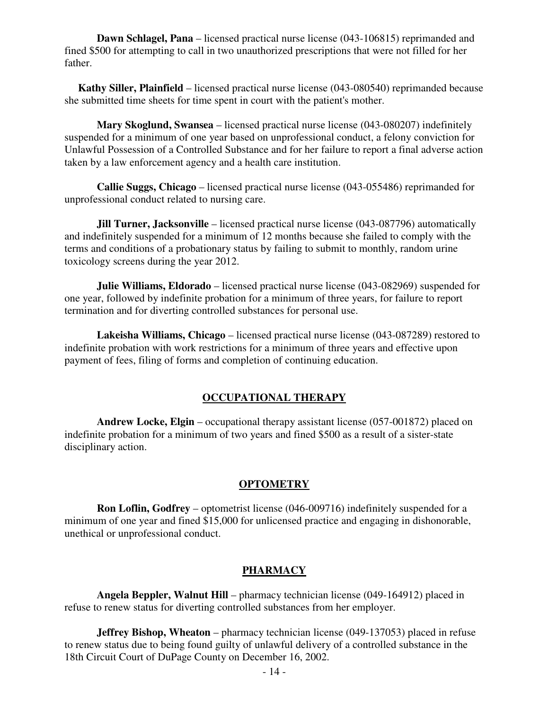**Dawn Schlagel, Pana** – licensed practical nurse license (043-106815) reprimanded and fined \$500 for attempting to call in two unauthorized prescriptions that were not filled for her father.

**Kathy Siller, Plainfield** – licensed practical nurse license (043-080540) reprimanded because she submitted time sheets for time spent in court with the patient's mother.

 **Mary Skoglund, Swansea** – licensed practical nurse license (043-080207) indefinitely suspended for a minimum of one year based on unprofessional conduct, a felony conviction for Unlawful Possession of a Controlled Substance and for her failure to report a final adverse action taken by a law enforcement agency and a health care institution.

 **Callie Suggs, Chicago** – licensed practical nurse license (043-055486) reprimanded for unprofessional conduct related to nursing care.

**Jill Turner, Jacksonville** – licensed practical nurse license (043-087796) automatically and indefinitely suspended for a minimum of 12 months because she failed to comply with the terms and conditions of a probationary status by failing to submit to monthly, random urine toxicology screens during the year 2012.

**Julie Williams, Eldorado** – licensed practical nurse license (043-082969) suspended for one year, followed by indefinite probation for a minimum of three years, for failure to report termination and for diverting controlled substances for personal use.

 **Lakeisha Williams, Chicago** – licensed practical nurse license (043-087289) restored to indefinite probation with work restrictions for a minimum of three years and effective upon payment of fees, filing of forms and completion of continuing education.

### **OCCUPATIONAL THERAPY**

**Andrew Locke, Elgin** – occupational therapy assistant license (057-001872) placed on indefinite probation for a minimum of two years and fined \$500 as a result of a sister-state disciplinary action.

#### **OPTOMETRY**

**Ron Loflin, Godfrey** – optometrist license (046-009716) indefinitely suspended for a minimum of one year and fined \$15,000 for unlicensed practice and engaging in dishonorable, unethical or unprofessional conduct.

### **PHARMACY**

**Angela Beppler, Walnut Hill** – pharmacy technician license (049-164912) placed in refuse to renew status for diverting controlled substances from her employer.

**Jeffrey Bishop, Wheaton** – pharmacy technician license (049-137053) placed in refuse to renew status due to being found guilty of unlawful delivery of a controlled substance in the 18th Circuit Court of DuPage County on December 16, 2002.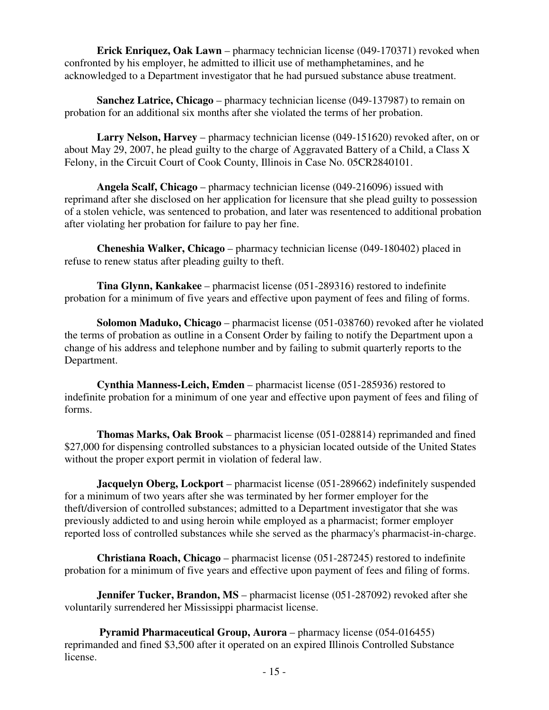**Erick Enriquez, Oak Lawn** – pharmacy technician license (049-170371) revoked when confronted by his employer, he admitted to illicit use of methamphetamines, and he acknowledged to a Department investigator that he had pursued substance abuse treatment.

**Sanchez Latrice, Chicago** – pharmacy technician license (049-137987) to remain on probation for an additional six months after she violated the terms of her probation.

**Larry Nelson, Harvey** – pharmacy technician license (049-151620) revoked after, on or about May 29, 2007, he plead guilty to the charge of Aggravated Battery of a Child, a Class X Felony, in the Circuit Court of Cook County, Illinois in Case No. 05CR2840101.

**Angela Scalf, Chicago** – pharmacy technician license (049-216096) issued with reprimand after she disclosed on her application for licensure that she plead guilty to possession of a stolen vehicle, was sentenced to probation, and later was resentenced to additional probation after violating her probation for failure to pay her fine.

**Cheneshia Walker, Chicago** – pharmacy technician license (049-180402) placed in refuse to renew status after pleading guilty to theft.

**Tina Glynn, Kankakee** – pharmacist license (051-289316) restored to indefinite probation for a minimum of five years and effective upon payment of fees and filing of forms.

**Solomon Maduko, Chicago** – pharmacist license (051-038760) revoked after he violated the terms of probation as outline in a Consent Order by failing to notify the Department upon a change of his address and telephone number and by failing to submit quarterly reports to the Department.

**Cynthia Manness-Leich, Emden** – pharmacist license (051-285936) restored to indefinite probation for a minimum of one year and effective upon payment of fees and filing of forms.

**Thomas Marks, Oak Brook** – pharmacist license (051-028814) reprimanded and fined \$27,000 for dispensing controlled substances to a physician located outside of the United States without the proper export permit in violation of federal law.

**Jacquelyn Oberg, Lockport** – pharmacist license (051-289662) indefinitely suspended for a minimum of two years after she was terminated by her former employer for the theft/diversion of controlled substances; admitted to a Department investigator that she was previously addicted to and using heroin while employed as a pharmacist; former employer reported loss of controlled substances while she served as the pharmacy's pharmacist-in-charge.

**Christiana Roach, Chicago** – pharmacist license (051-287245) restored to indefinite probation for a minimum of five years and effective upon payment of fees and filing of forms.

**Jennifer Tucker, Brandon, MS** – pharmacist license (051-287092) revoked after she voluntarily surrendered her Mississippi pharmacist license.

**Pyramid Pharmaceutical Group, Aurora** – pharmacy license (054-016455) reprimanded and fined \$3,500 after it operated on an expired Illinois Controlled Substance license.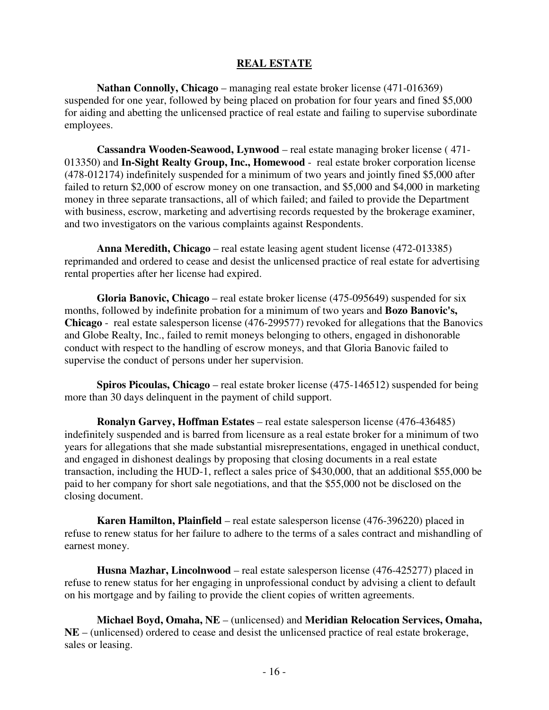#### **REAL ESTATE**

**Nathan Connolly, Chicago** – managing real estate broker license (471-016369) suspended for one year, followed by being placed on probation for four years and fined \$5,000 for aiding and abetting the unlicensed practice of real estate and failing to supervise subordinate employees.

**Cassandra Wooden-Seawood, Lynwood** – real estate managing broker license ( 471- 013350) and **In-Sight Realty Group, Inc., Homewood** - real estate broker corporation license (478-012174) indefinitely suspended for a minimum of two years and jointly fined \$5,000 after failed to return \$2,000 of escrow money on one transaction, and \$5,000 and \$4,000 in marketing money in three separate transactions, all of which failed; and failed to provide the Department with business, escrow, marketing and advertising records requested by the brokerage examiner, and two investigators on the various complaints against Respondents.

**Anna Meredith, Chicago** – real estate leasing agent student license (472-013385) reprimanded and ordered to cease and desist the unlicensed practice of real estate for advertising rental properties after her license had expired.

**Gloria Banovic, Chicago** – real estate broker license (475-095649) suspended for six months, followed by indefinite probation for a minimum of two years and **Bozo Banovic's, Chicago** - real estate salesperson license (476-299577) revoked for allegations that the Banovics and Globe Realty, Inc., failed to remit moneys belonging to others, engaged in dishonorable conduct with respect to the handling of escrow moneys, and that Gloria Banovic failed to supervise the conduct of persons under her supervision.

**Spiros Picoulas, Chicago** – real estate broker license (475-146512) suspended for being more than 30 days delinquent in the payment of child support.

**Ronalyn Garvey, Hoffman Estates** – real estate salesperson license (476-436485) indefinitely suspended and is barred from licensure as a real estate broker for a minimum of two years for allegations that she made substantial misrepresentations, engaged in unethical conduct, and engaged in dishonest dealings by proposing that closing documents in a real estate transaction, including the HUD-1, reflect a sales price of \$430,000, that an additional \$55,000 be paid to her company for short sale negotiations, and that the \$55,000 not be disclosed on the closing document.

**Karen Hamilton, Plainfield** – real estate salesperson license (476-396220) placed in refuse to renew status for her failure to adhere to the terms of a sales contract and mishandling of earnest money.

**Husna Mazhar, Lincolnwood** – real estate salesperson license (476-425277) placed in refuse to renew status for her engaging in unprofessional conduct by advising a client to default on his mortgage and by failing to provide the client copies of written agreements.

**Michael Boyd, Omaha, NE** – (unlicensed) and **Meridian Relocation Services, Omaha, NE** – (unlicensed) ordered to cease and desist the unlicensed practice of real estate brokerage, sales or leasing.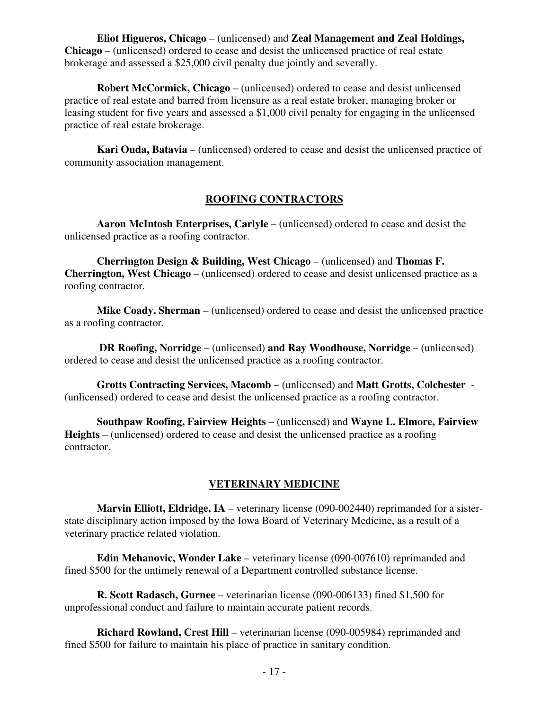**Eliot Higueros, Chicago** – (unlicensed) and **Zeal Management and Zeal Holdings, Chicago** – (unlicensed) ordered to cease and desist the unlicensed practice of real estate brokerage and assessed a \$25,000 civil penalty due jointly and severally.

**Robert McCormick, Chicago** – (unlicensed) ordered to cease and desist unlicensed practice of real estate and barred from licensure as a real estate broker, managing broker or leasing student for five years and assessed a \$1,000 civil penalty for engaging in the unlicensed practice of real estate brokerage.

**Kari Ouda, Batavia** – (unlicensed) ordered to cease and desist the unlicensed practice of community association management.

## **ROOFING CONTRACTORS**

**Aaron McIntosh Enterprises, Carlyle** – (unlicensed) ordered to cease and desist the unlicensed practice as a roofing contractor.

**Cherrington Design & Building, West Chicago** – (unlicensed) and **Thomas F. Cherrington, West Chicago** – (unlicensed) ordered to cease and desist unlicensed practice as a roofing contractor.

**Mike Coady, Sherman** – (unlicensed) ordered to cease and desist the unlicensed practice as a roofing contractor.

**DR Roofing, Norridge** – (unlicensed) **and Ray Woodhouse, Norridge** – (unlicensed) ordered to cease and desist the unlicensed practice as a roofing contractor.

**Grotts Contracting Services, Macomb** – (unlicensed) and **Matt Grotts, Colchester** - (unlicensed) ordered to cease and desist the unlicensed practice as a roofing contractor.

**Southpaw Roofing, Fairview Heights** – (unlicensed) and **Wayne L. Elmore, Fairview Heights** – (unlicensed) ordered to cease and desist the unlicensed practice as a roofing contractor.

# **VETERINARY MEDICINE**

**Marvin Elliott, Eldridge, IA** – veterinary license (090-002440) reprimanded for a sisterstate disciplinary action imposed by the Iowa Board of Veterinary Medicine, as a result of a veterinary practice related violation.

**Edin Mehanovic, Wonder Lake** – veterinary license (090-007610) reprimanded and fined \$500 for the untimely renewal of a Department controlled substance license.

**R. Scott Radasch, Gurnee** – veterinarian license (090-006133) fined \$1,500 for unprofessional conduct and failure to maintain accurate patient records.

**Richard Rowland, Crest Hill** – veterinarian license (090-005984) reprimanded and fined \$500 for failure to maintain his place of practice in sanitary condition.